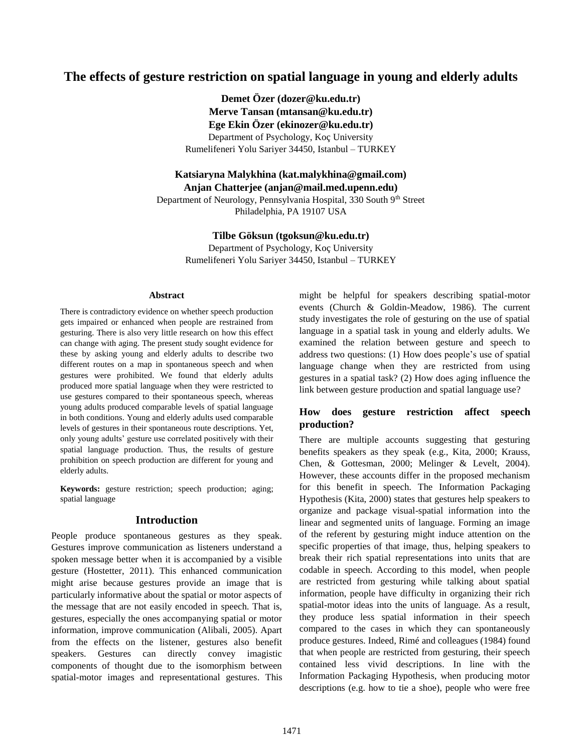# **The effects of gesture restriction on spatial language in young and elderly adults**

**Demet Özer (dozer@ku.edu.tr) Merve Tansan (mtansan@ku.edu.tr) Ege Ekin Özer (ekinozer@ku.edu.tr)** Department of Psychology, Koç University Rumelifeneri Yolu Sariyer 34450, Istanbul – TURKEY

**Katsiaryna Malykhina (kat.malykhina@gmail.com)**

**Anjan Chatterjee (anjan@mail.med.upenn.edu)**

Department of Neurology, Pennsylvania Hospital, 330 South 9th Street Philadelphia, PA 19107 USA

**Tilbe Göksun (tgoksun@ku.edu.tr)**

Department of Psychology, Koç University Rumelifeneri Yolu Sariyer 34450, Istanbul – TURKEY

#### **Abstract**

There is contradictory evidence on whether speech production gets impaired or enhanced when people are restrained from gesturing. There is also very little research on how this effect can change with aging. The present study sought evidence for these by asking young and elderly adults to describe two different routes on a map in spontaneous speech and when gestures were prohibited. We found that elderly adults produced more spatial language when they were restricted to use gestures compared to their spontaneous speech, whereas young adults produced comparable levels of spatial language in both conditions. Young and elderly adults used comparable levels of gestures in their spontaneous route descriptions. Yet, only young adults' gesture use correlated positively with their spatial language production. Thus, the results of gesture prohibition on speech production are different for young and elderly adults.

**Keywords:** gesture restriction; speech production; aging; spatial language

#### **Introduction**

People produce spontaneous gestures as they speak. Gestures improve communication as listeners understand a spoken message better when it is accompanied by a visible gesture (Hostetter, 2011). This enhanced communication might arise because gestures provide an image that is particularly informative about the spatial or motor aspects of the message that are not easily encoded in speech. That is, gestures, especially the ones accompanying spatial or motor information, improve communication (Alibali, 2005). Apart from the effects on the listener, gestures also benefit speakers. Gestures can directly convey imagistic components of thought due to the isomorphism between spatial-motor images and representational gestures. This might be helpful for speakers describing spatial-motor events (Church & Goldin-Meadow, 1986). The current study investigates the role of gesturing on the use of spatial language in a spatial task in young and elderly adults. We examined the relation between gesture and speech to address two questions: (1) How does people's use of spatial language change when they are restricted from using gestures in a spatial task? (2) How does aging influence the link between gesture production and spatial language use?

# **How does gesture restriction affect speech production?**

There are multiple accounts suggesting that gesturing benefits speakers as they speak (e.g., Kita, 2000; Krauss, Chen, & Gottesman, 2000; Melinger & Levelt, 2004). However, these accounts differ in the proposed mechanism for this benefit in speech. The Information Packaging Hypothesis (Kita, 2000) states that gestures help speakers to organize and package visual-spatial information into the linear and segmented units of language. Forming an image of the referent by gesturing might induce attention on the specific properties of that image, thus, helping speakers to break their rich spatial representations into units that are codable in speech. According to this model, when people are restricted from gesturing while talking about spatial information, people have difficulty in organizing their rich spatial-motor ideas into the units of language. As a result, they produce less spatial information in their speech compared to the cases in which they can spontaneously produce gestures. Indeed, Rimé and colleagues (1984) found that when people are restricted from gesturing, their speech contained less vivid descriptions. In line with the Information Packaging Hypothesis, when producing motor descriptions (e.g. how to tie a shoe), people who were free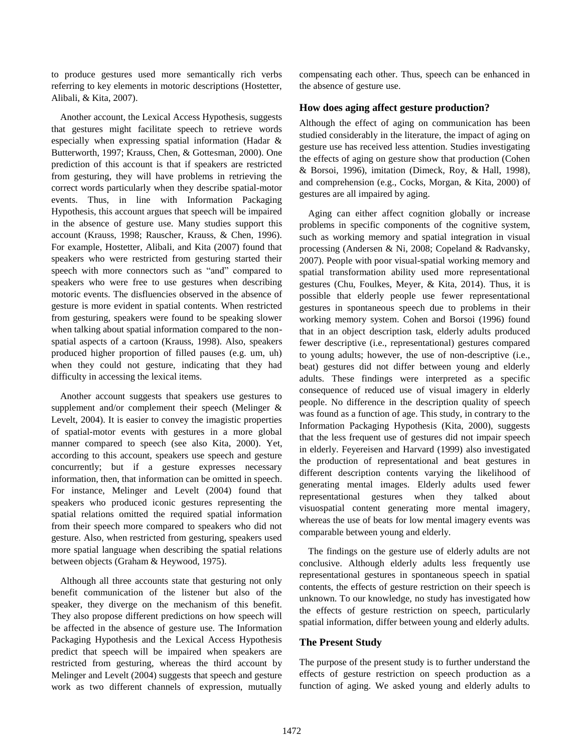to produce gestures used more semantically rich verbs referring to key elements in motoric descriptions (Hostetter, Alibali, & Kita, 2007).

Another account, the Lexical Access Hypothesis, suggests that gestures might facilitate speech to retrieve words especially when expressing spatial information (Hadar & Butterworth, 1997; Krauss, Chen, & Gottesman, 2000). One prediction of this account is that if speakers are restricted from gesturing, they will have problems in retrieving the correct words particularly when they describe spatial-motor events. Thus, in line with Information Packaging Hypothesis, this account argues that speech will be impaired in the absence of gesture use. Many studies support this account (Krauss, 1998; Rauscher, Krauss, & Chen, 1996). For example, Hostetter, Alibali, and Kita (2007) found that speakers who were restricted from gesturing started their speech with more connectors such as "and" compared to speakers who were free to use gestures when describing motoric events. The disfluencies observed in the absence of gesture is more evident in spatial contents. When restricted from gesturing, speakers were found to be speaking slower when talking about spatial information compared to the nonspatial aspects of a cartoon (Krauss, 1998). Also, speakers produced higher proportion of filled pauses (e.g. um, uh) when they could not gesture, indicating that they had difficulty in accessing the lexical items.

Another account suggests that speakers use gestures to supplement and/or complement their speech (Melinger & Levelt, 2004). It is easier to convey the imagistic properties of spatial-motor events with gestures in a more global manner compared to speech (see also Kita, 2000). Yet, according to this account, speakers use speech and gesture concurrently; but if a gesture expresses necessary information, then, that information can be omitted in speech. For instance, Melinger and Levelt (2004) found that speakers who produced iconic gestures representing the spatial relations omitted the required spatial information from their speech more compared to speakers who did not gesture. Also, when restricted from gesturing, speakers used more spatial language when describing the spatial relations between objects (Graham & Heywood, 1975).

Although all three accounts state that gesturing not only benefit communication of the listener but also of the speaker, they diverge on the mechanism of this benefit. They also propose different predictions on how speech will be affected in the absence of gesture use. The Information Packaging Hypothesis and the Lexical Access Hypothesis predict that speech will be impaired when speakers are restricted from gesturing, whereas the third account by Melinger and Levelt (2004) suggests that speech and gesture work as two different channels of expression, mutually compensating each other. Thus, speech can be enhanced in the absence of gesture use.

# **How does aging affect gesture production?**

Although the effect of aging on communication has been studied considerably in the literature, the impact of aging on gesture use has received less attention. Studies investigating the effects of aging on gesture show that production (Cohen & Borsoi, 1996), imitation (Dimeck, Roy, & Hall, 1998), and comprehension (e.g., Cocks, Morgan, & Kita, 2000) of gestures are all impaired by aging.

Aging can either affect cognition globally or increase problems in specific components of the cognitive system, such as working memory and spatial integration in visual processing (Andersen & Ni, 2008; Copeland & Radvansky, 2007). People with poor visual-spatial working memory and spatial transformation ability used more representational gestures (Chu, Foulkes, Meyer, & Kita, 2014). Thus, it is possible that elderly people use fewer representational gestures in spontaneous speech due to problems in their working memory system. Cohen and Borsoi (1996) found that in an object description task, elderly adults produced fewer descriptive (i.e., representational) gestures compared to young adults; however, the use of non-descriptive (i.e., beat) gestures did not differ between young and elderly adults. These findings were interpreted as a specific consequence of reduced use of visual imagery in elderly people. No difference in the description quality of speech was found as a function of age. This study, in contrary to the Information Packaging Hypothesis (Kita, 2000), suggests that the less frequent use of gestures did not impair speech in elderly. Feyereisen and Harvard (1999) also investigated the production of representational and beat gestures in different description contents varying the likelihood of generating mental images. Elderly adults used fewer representational gestures when they talked about visuospatial content generating more mental imagery, whereas the use of beats for low mental imagery events was comparable between young and elderly.

The findings on the gesture use of elderly adults are not conclusive. Although elderly adults less frequently use representational gestures in spontaneous speech in spatial contents, the effects of gesture restriction on their speech is unknown. To our knowledge, no study has investigated how the effects of gesture restriction on speech, particularly spatial information, differ between young and elderly adults.

#### **The Present Study**

The purpose of the present study is to further understand the effects of gesture restriction on speech production as a function of aging. We asked young and elderly adults to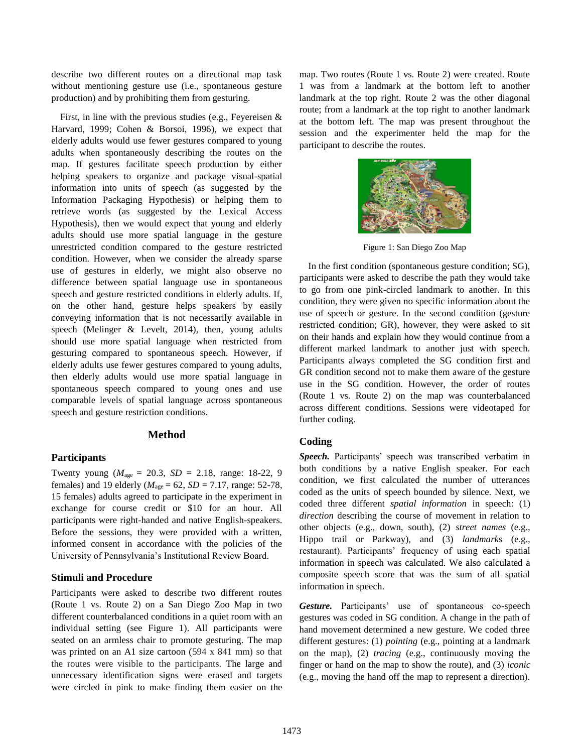describe two different routes on a directional map task without mentioning gesture use (i.e., spontaneous gesture production) and by prohibiting them from gesturing.

First, in line with the previous studies (e.g., Feyereisen & Harvard, 1999; Cohen & Borsoi, 1996), we expect that elderly adults would use fewer gestures compared to young adults when spontaneously describing the routes on the map. If gestures facilitate speech production by either helping speakers to organize and package visual-spatial information into units of speech (as suggested by the Information Packaging Hypothesis) or helping them to retrieve words (as suggested by the Lexical Access Hypothesis), then we would expect that young and elderly adults should use more spatial language in the gesture unrestricted condition compared to the gesture restricted condition. However, when we consider the already sparse use of gestures in elderly, we might also observe no difference between spatial language use in spontaneous speech and gesture restricted conditions in elderly adults. If, on the other hand, gesture helps speakers by easily conveying information that is not necessarily available in speech (Melinger & Levelt, 2014), then, young adults should use more spatial language when restricted from gesturing compared to spontaneous speech. However, if elderly adults use fewer gestures compared to young adults, then elderly adults would use more spatial language in spontaneous speech compared to young ones and use comparable levels of spatial language across spontaneous speech and gesture restriction conditions.

### **Method**

#### **Participants**

Twenty young ( $M_{\text{age}} = 20.3$ ,  $SD = 2.18$ , range: 18-22, 9 females) and 19 elderly ( $M_{\text{age}} = 62$ ,  $SD = 7.17$ , range: 52-78, 15 females) adults agreed to participate in the experiment in exchange for course credit or \$10 for an hour. All participants were right-handed and native English-speakers. Before the sessions, they were provided with a written, informed consent in accordance with the policies of the University of Pennsylvania's Institutional Review Board.

### **Stimuli and Procedure**

Participants were asked to describe two different routes (Route 1 vs. Route 2) on a San Diego Zoo Map in two different counterbalanced conditions in a quiet room with an individual setting (see Figure 1). All participants were seated on an armless chair to promote gesturing. The map was printed on an A1 size cartoon (594 x 841 mm) so that the routes were visible to the participants. The large and unnecessary identification signs were erased and targets were circled in pink to make finding them easier on the map. Two routes (Route 1 vs. Route 2) were created. Route 1 was from a landmark at the bottom left to another landmark at the top right. Route 2 was the other diagonal route; from a landmark at the top right to another landmark at the bottom left. The map was present throughout the session and the experimenter held the map for the participant to describe the routes.



Figure 1: San Diego Zoo Map

In the first condition (spontaneous gesture condition; SG), participants were asked to describe the path they would take to go from one pink-circled landmark to another. In this condition, they were given no specific information about the use of speech or gesture. In the second condition (gesture restricted condition; GR), however, they were asked to sit on their hands and explain how they would continue from a different marked landmark to another just with speech. Participants always completed the SG condition first and GR condition second not to make them aware of the gesture use in the SG condition. However, the order of routes (Route 1 vs. Route 2) on the map was counterbalanced across different conditions. Sessions were videotaped for further coding.

#### **Coding**

*Speech.* Participants' speech was transcribed verbatim in both conditions by a native English speaker. For each condition, we first calculated the number of utterances coded as the units of speech bounded by silence. Next, we coded three different *spatial information* in speech: (1) *direction* describing the course of movement in relation to other objects (e.g., down, south), (2) *street names* (e.g., Hippo trail or Parkway), and (3) *landmark*s (e.g., restaurant). Participants' frequency of using each spatial information in speech was calculated. We also calculated a composite speech score that was the sum of all spatial information in speech.

*Gesture.* Participants' use of spontaneous co-speech gestures was coded in SG condition. A change in the path of hand movement determined a new gesture. We coded three different gestures: (1) *pointing* (e.g., pointing at a landmark on the map), (2) *tracing* (e.g., continuously moving the finger or hand on the map to show the route), and (3) *iconic*  (e.g., moving the hand off the map to represent a direction).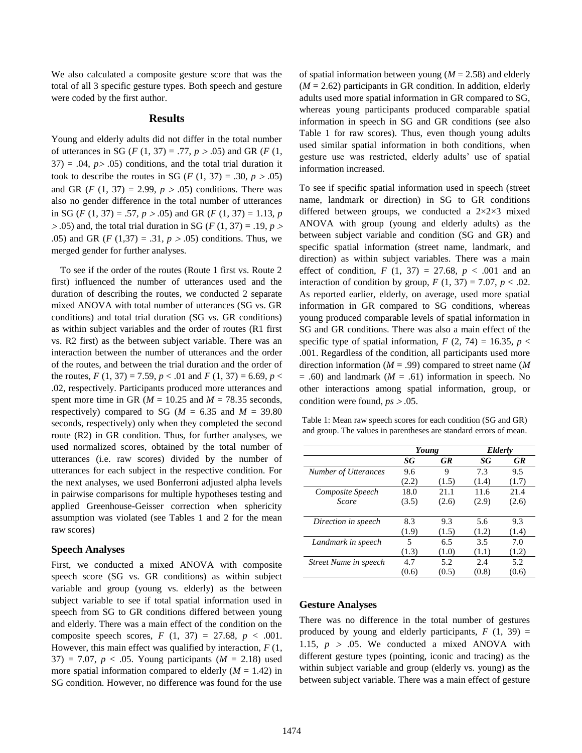We also calculated a composite gesture score that was the total of all 3 specific gesture types. Both speech and gesture were coded by the first author.

#### **Results**

Young and elderly adults did not differ in the total number of utterances in SG ( $F(1, 37) = .77$ ,  $p > .05$ ) and GR ( $F(1, 37) = .77$ )  $37$ ) = .04,  $p > .05$ ) conditions, and the total trial duration it took to describe the routes in SG (*F* (1, 37) = .30,  $p > .05$ ) and GR (*F* (1, 37) = 2.99,  $p > .05$ ) conditions. There was also no gender difference in the total number of utterances in SG (*F* (1, 37) = .57,  $p > .05$ ) and GR (*F* (1, 37) = 1.13, *p*  $> 0.05$ ) and, the total trial duration in SG (*F* (1, 37) = .19, *p*  $>$ .05) and GR ( $F(1,37) = .31, p > .05$ ) conditions. Thus, we merged gender for further analyses.

To see if the order of the routes (Route 1 first vs. Route 2 first) influenced the number of utterances used and the duration of describing the routes, we conducted 2 separate mixed ANOVA with total number of utterances (SG vs. GR conditions) and total trial duration (SG vs. GR conditions) as within subject variables and the order of routes (R1 first vs. R2 first) as the between subject variable. There was an interaction between the number of utterances and the order of the routes, and between the trial duration and the order of the routes,  $F(1, 37) = 7.59$ ,  $p < .01$  and  $F(1, 37) = 6.69$ ,  $p <$ .02, respectively. Participants produced more utterances and spent more time in GR ( $M = 10.25$  and  $M = 78.35$  seconds, respectively) compared to SG ( $M = 6.35$  and  $M = 39.80$ seconds, respectively) only when they completed the second route (R2) in GR condition. Thus, for further analyses, we used normalized scores, obtained by the total number of utterances (i.e. raw scores) divided by the number of utterances for each subject in the respective condition. For the next analyses, we used Bonferroni adjusted alpha levels in pairwise comparisons for multiple hypotheses testing and applied Greenhouse-Geisser correction when sphericity assumption was violated (see Tables 1 and 2 for the mean raw scores)

#### **Speech Analyses**

First, we conducted a mixed ANOVA with composite speech score (SG vs. GR conditions) as within subject variable and group (young vs. elderly) as the between subject variable to see if total spatial information used in speech from SG to GR conditions differed between young and elderly. There was a main effect of the condition on the composite speech scores,  $F(1, 37) = 27.68, p < .001$ . However, this main effect was qualified by interaction, *F* (1,  $37) = 7.07$ ,  $p < .05$ . Young participants ( $M = 2.18$ ) used more spatial information compared to elderly  $(M = 1.42)$  in SG condition. However, no difference was found for the use of spatial information between young  $(M = 2.58)$  and elderly  $(M = 2.62)$  participants in GR condition. In addition, elderly adults used more spatial information in GR compared to SG, whereas young participants produced comparable spatial information in speech in SG and GR conditions (see also Table 1 for raw scores). Thus, even though young adults used similar spatial information in both conditions, when gesture use was restricted, elderly adults' use of spatial information increased.

To see if specific spatial information used in speech (street name, landmark or direction) in SG to GR conditions differed between groups, we conducted a 2×2×3 mixed ANOVA with group (young and elderly adults) as the between subject variable and condition (SG and GR) and specific spatial information (street name, landmark, and direction) as within subject variables. There was a main effect of condition,  $F(1, 37) = 27.68$ ,  $p < .001$  and an interaction of condition by group,  $F(1, 37) = 7.07$ ,  $p < .02$ . As reported earlier, elderly, on average, used more spatial information in GR compared to SG conditions, whereas young produced comparable levels of spatial information in SG and GR conditions. There was also a main effect of the specific type of spatial information,  $F(2, 74) = 16.35$ ,  $p <$ .001. Regardless of the condition, all participants used more direction information (*M* = .99) compared to street name (*M*  $= .60$ ) and landmark ( $M = .61$ ) information in speech. No other interactions among spatial information, group, or condition were found,  $ps > .05$ .

Table 1: Mean raw speech scores for each condition (SG and GR) and group. The values in parentheses are standard errors of mean.

|                             | Young |           | <b>Elderly</b> |           |
|-----------------------------|-------|-----------|----------------|-----------|
|                             | SG    | <b>GR</b> | SG             | <b>GR</b> |
| <b>Number of Utterances</b> | 9.6   | 9         | 7.3            | 9.5       |
|                             | (2.2) | (1.5)     | (1.4)          | (1.7)     |
| Composite Speech            | 18.0  | 21.1      | 11.6           | 21.4      |
| Score                       | (3.5) | (2.6)     | (2.9)          | (2.6)     |
| Direction in speech         | 8.3   | 9.3       | 5.6            | 9.3       |
|                             | (1.9) | (1.5)     | (1.2)          | (1.4)     |
| Landmark in speech          | 5     | 6.5       | 3.5            | 7.0       |
|                             | (1.3) | (1.0)     | (1.1)          | (1.2)     |
| Street Name in speech       | 4.7   | 5.2       | 2.4            | 5.2       |
|                             | (0.6) | (0.5)     | (0.8)          | (0.6)     |

#### **Gesture Analyses**

There was no difference in the total number of gestures produced by young and elderly participants,  $F(1, 39) =$ 1.15,  $p > .05$ . We conducted a mixed ANOVA with different gesture types (pointing, iconic and tracing) as the within subject variable and group (elderly vs. young) as the between subject variable. There was a main effect of gesture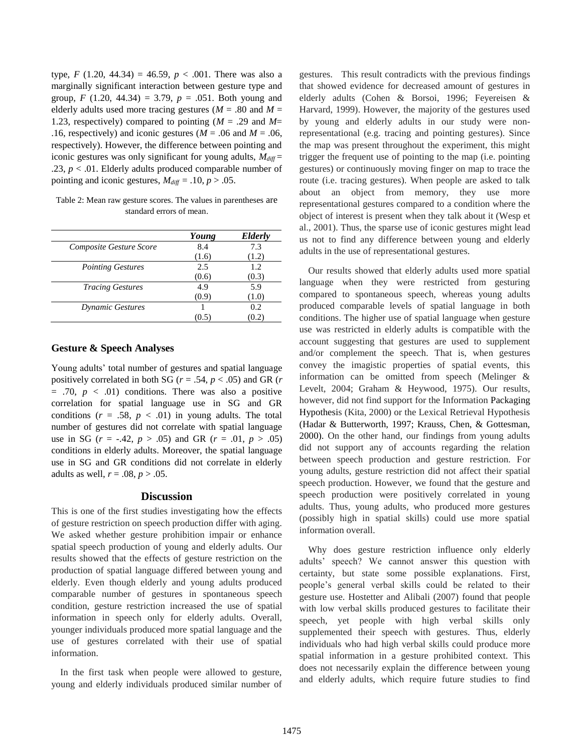type, *F* (1.20, 44.34) = 46.59, *p* < .001. There was also a marginally significant interaction between gesture type and group, *F* (1.20, 44.34) = 3.79,  $p = .051$ . Both young and elderly adults used more tracing gestures ( $M = .80$  and  $M =$ 1.23, respectively) compared to pointing (*M* = .29 and *M*= .16, respectively) and iconic gestures ( $M = .06$  and  $M = .06$ , respectively). However, the difference between pointing and iconic gestures was only significant for young adults,  $M_{diff}$  = .23,  $p < 0.01$ . Elderly adults produced comparable number of pointing and iconic gestures,  $M_{diff} = .10, p > .05$ .

Table 2: Mean raw gesture scores. The values in parentheses are standard errors of mean.

|                          | Young | Elderly |
|--------------------------|-------|---------|
| Composite Gesture Score  | 8.4   | 7.3     |
|                          | (1.6) | (1.2)   |
| <b>Pointing Gestures</b> | 2.5   | 1.2.    |
|                          | (0.6) | (0.3)   |
| <b>Tracing Gestures</b>  | 4.9   | 5.9     |
|                          | (0.9) | (1.0)   |
| <b>Dynamic Gestures</b>  |       | 0.2     |
|                          | (0.5) | 0.2     |

## **Gesture & Speech Analyses**

Young adults' total number of gestures and spatial language positively correlated in both SG ( $r = .54$ ,  $p < .05$ ) and GR ( $r = .54$ )  $= .70, p < .01$ ) conditions. There was also a positive correlation for spatial language use in SG and GR conditions  $(r = .58, p < .01)$  in young adults. The total number of gestures did not correlate with spatial language use in SG ( $r = -.42$ ,  $p > .05$ ) and GR ( $r = .01$ ,  $p > .05$ ) conditions in elderly adults. Moreover, the spatial language use in SG and GR conditions did not correlate in elderly adults as well,  $r = .08$ ,  $p > .05$ .

#### **Discussion**

This is one of the first studies investigating how the effects of gesture restriction on speech production differ with aging. We asked whether gesture prohibition impair or enhance spatial speech production of young and elderly adults. Our results showed that the effects of gesture restriction on the production of spatial language differed between young and elderly. Even though elderly and young adults produced comparable number of gestures in spontaneous speech condition, gesture restriction increased the use of spatial information in speech only for elderly adults. Overall, younger individuals produced more spatial language and the use of gestures correlated with their use of spatial information.

In the first task when people were allowed to gesture, young and elderly individuals produced similar number of gestures. This result contradicts with the previous findings that showed evidence for decreased amount of gestures in elderly adults (Cohen & Borsoi, 1996; Feyereisen & Harvard, 1999). However, the majority of the gestures used by young and elderly adults in our study were nonrepresentational (e.g. tracing and pointing gestures). Since the map was present throughout the experiment, this might trigger the frequent use of pointing to the map (i.e. pointing gestures) or continuously moving finger on map to trace the route (i.e. tracing gestures). When people are asked to talk about an object from memory, they use more representational gestures compared to a condition where the object of interest is present when they talk about it (Wesp et al., 2001). Thus, the sparse use of iconic gestures might lead us not to find any difference between young and elderly adults in the use of representational gestures.

Our results showed that elderly adults used more spatial language when they were restricted from gesturing compared to spontaneous speech, whereas young adults produced comparable levels of spatial language in both conditions. The higher use of spatial language when gesture use was restricted in elderly adults is compatible with the account suggesting that gestures are used to supplement and/or complement the speech. That is, when gestures convey the imagistic properties of spatial events, this information can be omitted from speech (Melinger & Levelt, 2004; Graham & Heywood, 1975). Our results, however, did not find support for the Information Packaging Hypothesis (Kita, 2000) or the Lexical Retrieval Hypothesis (Hadar & Butterworth, 1997; Krauss, Chen, & Gottesman, 2000). On the other hand, our findings from young adults did not support any of accounts regarding the relation between speech production and gesture restriction. For young adults, gesture restriction did not affect their spatial speech production. However, we found that the gesture and speech production were positively correlated in young adults. Thus, young adults, who produced more gestures (possibly high in spatial skills) could use more spatial information overall.

Why does gesture restriction influence only elderly adults' speech? We cannot answer this question with certainty, but state some possible explanations. First, people's general verbal skills could be related to their gesture use. Hostetter and Alibali (2007) found that people with low verbal skills produced gestures to facilitate their speech, yet people with high verbal skills only supplemented their speech with gestures. Thus, elderly individuals who had high verbal skills could produce more spatial information in a gesture prohibited context. This does not necessarily explain the difference between young and elderly adults, which require future studies to find